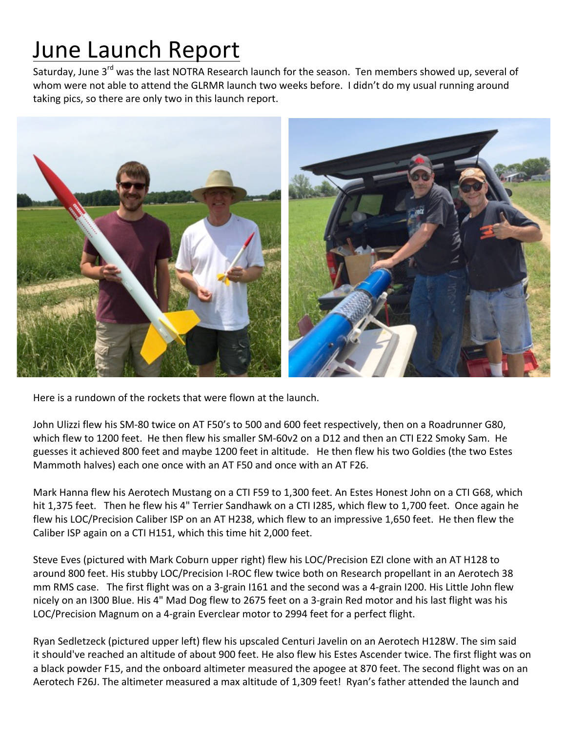## June Launch Report

Saturday, June 3<sup>rd</sup> was the last NOTRA Research launch for the season. Ten members showed up, several of whom were not able to attend the GLRMR launch two weeks before. I didn't do my usual running around taking pics, so there are only two in this launch report.



Here is a rundown of the rockets that were flown at the launch.

John Ulizzi flew his SM-80 twice on AT F50's to 500 and 600 feet respectively, then on a Roadrunner G80, which flew to 1200 feet. He then flew his smaller SM-60v2 on a D12 and then an CTI E22 Smoky Sam. He guesses it achieved 800 feet and maybe 1200 feet in altitude. He then flew his two Goldies (the two Estes Mammoth halves) each one once with an AT F50 and once with an AT F26.

Mark Hanna flew his Aerotech Mustang on a CTI F59 to 1,300 feet. An Estes Honest John on a CTI G68, which hit 1,375 feet. Then he flew his 4" Terrier Sandhawk on a CTI I285, which flew to 1,700 feet. Once again he flew his LOC/Precision Caliber ISP on an AT H238, which flew to an impressive 1,650 feet. He then flew the Caliber ISP again on a CTI H151, which this time hit 2,000 feet.

Steve Eves (pictured with Mark Coburn upper right) flew his LOC/Precision EZI clone with an AT H128 to around 800 feet. His stubby LOC/Precision I-ROC flew twice both on Research propellant in an Aerotech 38 mm RMS case. The first flight was on a 3-grain I161 and the second was a 4-grain I200. His Little John flew nicely on an I300 Blue. His 4" Mad Dog flew to 2675 feet on a 3-grain Red motor and his last flight was his LOC/Precision Magnum on a 4-grain Everclear motor to 2994 feet for a perfect flight.

Ryan Sedletzeck (pictured upper left) flew his upscaled Centuri Javelin on an Aerotech H128W. The sim said it should've reached an altitude of about 900 feet. He also flew his Estes Ascender twice. The first flight was on a black powder F15, and the onboard altimeter measured the apogee at 870 feet. The second flight was on an Aerotech F26J. The altimeter measured a max altitude of 1,309 feet! Ryan's father attended the launch and